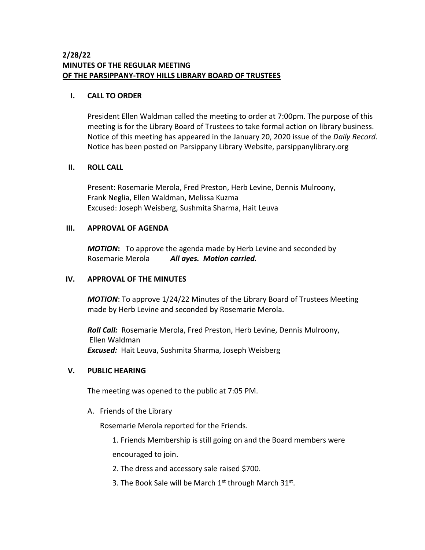# **2/28/22 MINUTES OF THE REGULAR MEETING OF THE PARSIPPANY-TROY HILLS LIBRARY BOARD OF TRUSTEES**

### **I. CALL TO ORDER**

President Ellen Waldman called the meeting to order at 7:00pm. The purpose of this meeting is for the Library Board of Trustees to take formal action on library business. Notice of this meeting has appeared in the January 20, 2020 issue of the *Daily Record*. Notice has been posted on Parsippany Library Website, parsippanylibrary.org

### **II. ROLL CALL**

Present: Rosemarie Merola, Fred Preston, Herb Levine, Dennis Mulroony, Frank Neglia, Ellen Waldman, Melissa Kuzma Excused: Joseph Weisberg, Sushmita Sharma, Hait Leuva

## **III. APPROVAL OF AGENDA**

*MOTION***:** To approve the agenda made by Herb Levine and seconded by Rosemarie Merola *All ayes. Motion carried.*

## **IV. APPROVAL OF THE MINUTES**

*MOTION*: To approve 1/24/22 Minutes of the Library Board of Trustees Meeting made by Herb Levine and seconded by Rosemarie Merola.

*Roll Call:* Rosemarie Merola, Fred Preston, Herb Levine, Dennis Mulroony, Ellen Waldman *Excused:* Hait Leuva, Sushmita Sharma, Joseph Weisberg

## **V. PUBLIC HEARING**

The meeting was opened to the public at 7:05 PM.

A. Friends of the Library

Rosemarie Merola reported for the Friends.

1. Friends Membership is still going on and the Board members were encouraged to join.

2. The dress and accessory sale raised \$700.

3. The Book Sale will be March  $1<sup>st</sup>$  through March  $31<sup>st</sup>$ .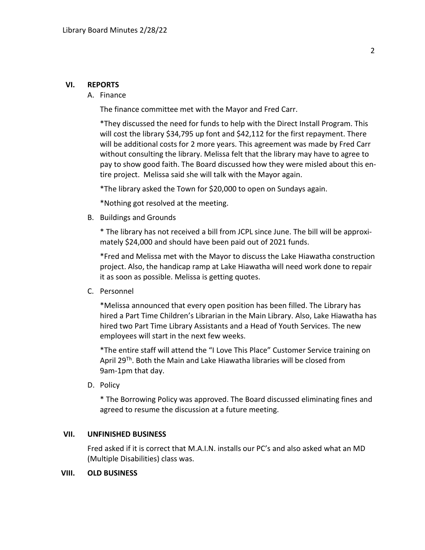#### **VI. REPORTS**

#### A. Finance

The finance committee met with the Mayor and Fred Carr.

\*They discussed the need for funds to help with the Direct Install Program. This will cost the library \$34,795 up font and \$42,112 for the first repayment. There will be additional costs for 2 more years. This agreement was made by Fred Carr without consulting the library. Melissa felt that the library may have to agree to pay to show good faith. The Board discussed how they were misled about this entire project. Melissa said she will talk with the Mayor again.

\*The library asked the Town for \$20,000 to open on Sundays again.

\*Nothing got resolved at the meeting.

B. Buildings and Grounds

\* The library has not received a bill from JCPL since June. The bill will be approximately \$24,000 and should have been paid out of 2021 funds.

\*Fred and Melissa met with the Mayor to discuss the Lake Hiawatha construction project. Also, the handicap ramp at Lake Hiawatha will need work done to repair it as soon as possible. Melissa is getting quotes.

C. Personnel

\*Melissa announced that every open position has been filled. The Library has hired a Part Time Children's Librarian in the Main Library. Also, Lake Hiawatha has hired two Part Time Library Assistants and a Head of Youth Services. The new employees will start in the next few weeks.

\*The entire staff will attend the "I Love This Place" Customer Service training on April 29<sup>Th</sup>. Both the Main and Lake Hiawatha libraries will be closed from 9am-1pm that day.

D. Policy

\* The Borrowing Policy was approved. The Board discussed eliminating fines and agreed to resume the discussion at a future meeting.

#### **VII. UNFINISHED BUSINESS**

Fred asked if it is correct that M.A.I.N. installs our PC's and also asked what an MD (Multiple Disabilities) class was.

#### **VIII. OLD BUSINESS**